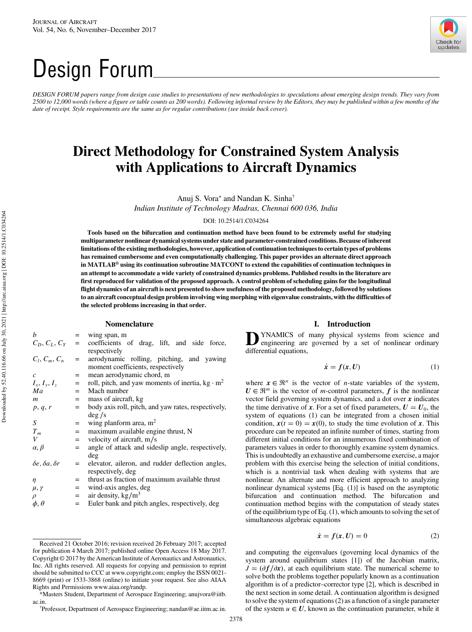# Design Forum



*DESIGN FORUM papers range from design case studies to presentations of new methodologies to speculations about emerging design trends. They vary from 2500 to 12,000 words (where a figure or table counts as 200 words). Following informal review by the Editors, they may be published within a few months of the date of receipt. Style requirements are the same as for regular contributions (see inside back cover).*

# Direct Methodology for Constrained System Analysis with Applications to Aircraft Dynamics

Anuj S. Vora<sup>∗</sup> and Nandan K. Sinha†

*Indian Institute of Technology Madras, Chennai 600 036, India*

DOI: 10.2514/1.C034264

Tools based on the bifurcation and continuation method have been found to be extremely useful for studying multiparameter nonlinear dynamical systems under state and parameter-constrained conditions. Because of inherent limitations of the existing methodologies, however, application of continuation techniques to certain types of problems has remained cumbersome and even computationally challenging. This paper provides an alternate direct approach in MATLAB® using its continuation subroutine MATCONT to extend the capabilities of continuation techniques in an attempt to accommodate a wide variety of constrained dynamics problems. Published results in the literature are first reproduced for validation of the proposed approach. A control problem of scheduling gains for the longitudinal flight dynamics of an aircraft is next presented to show usefulness of the proposed methodology, followed by solutions to an aircraft conceptual design problem involving wing morphing with eigenvalue constraints, with the difficulties of the selected problems increasing in that order.

#### Nomenclature

| b                              |     | $=$ wing span, m                                        |  |  |  |  |  |  |  |
|--------------------------------|-----|---------------------------------------------------------|--|--|--|--|--|--|--|
| $C_D, C_L, C_Y$                |     | = coefficients of drag, lift, and side force,           |  |  |  |  |  |  |  |
|                                |     | respectively                                            |  |  |  |  |  |  |  |
| $C_l, C_m, C_n$                | $=$ | aerodynamic rolling, pitching, and yawing               |  |  |  |  |  |  |  |
|                                |     |                                                         |  |  |  |  |  |  |  |
|                                |     | moment coefficients, respectively                       |  |  |  |  |  |  |  |
| $\mathcal{C}$                  | $=$ | mean aerodynamic chord, m                               |  |  |  |  |  |  |  |
| $I_x, I_y, I_z$                | $=$ | roll, pitch, and yaw moments of inertia, $kg \cdot m^2$ |  |  |  |  |  |  |  |
| Ma                             | $=$ | Mach number                                             |  |  |  |  |  |  |  |
| $\boldsymbol{m}$               | $=$ | mass of aircraft, kg                                    |  |  |  |  |  |  |  |
| p, q, r                        | $=$ | body axis roll, pitch, and yaw rates, respectively,     |  |  |  |  |  |  |  |
|                                |     | $\deg$ /s                                               |  |  |  |  |  |  |  |
| S                              | $=$ | wing planform area, $m2$                                |  |  |  |  |  |  |  |
| $\boldsymbol{T}_m$             | $=$ | maximum available engine thrust, N                      |  |  |  |  |  |  |  |
| V                              | $=$ | velocity of aircraft, m/s                               |  |  |  |  |  |  |  |
| $\alpha, \beta$                | $=$ | angle of attack and sideslip angle, respectively,       |  |  |  |  |  |  |  |
|                                |     | deg                                                     |  |  |  |  |  |  |  |
| $\delta e, \delta a, \delta r$ | $=$ | elevator, aileron, and rudder deflection angles,        |  |  |  |  |  |  |  |
|                                |     | respectively, deg                                       |  |  |  |  |  |  |  |
| $\eta$                         | $=$ | thrust as fraction of maximum available thrust          |  |  |  |  |  |  |  |
| $\mu$ , $\gamma$               |     | $=$ wind-axis angles, deg                               |  |  |  |  |  |  |  |
| $\rho$                         | $=$ | air density, $\text{kg/m}^3$                            |  |  |  |  |  |  |  |
| AA                             | —   | Fuler bank and pitch angles, respectively deg           |  |  |  |  |  |  |  |

#### $\phi$ ,  $\theta$  = Euler bank and pitch angles, respectively, deg

#### Received 21 October 2016; revision received 26 February 2017; accepted for publication 4 March 2017; published online Open Access 18 May 2017. Copyright © 2017 by the American Institute of Aeronautics and Astronautics, Inc. All rights reserved. All requests for copying and permission to reprint should be submitted to CCC at www.copyright.com; employ the ISSN 0021- 8669 (print) or 1533-3868 (online) to initiate your request. See also AIAA Rights and Permissions www.aiaa.org/randp.

\*Masters Student, Department of Aerospace Engineering; anujvora@iitb. ac.in.

**D** YNAMICS of many physical systems from science and engineering are governed by a set of nonlinear ordinary engineering are governed by a set of nonlinear ordinary differential equations,

$$
\dot{\mathbf{x}} = f(\mathbf{x}, \mathbf{U}) \tag{1}
$$

where  $x \in \mathbb{R}^n$  is the vector of *n*-state variables of the system,  $U \in \mathbb{R}^m$  is the vector of *m*-control parameters, f is the nonlinear vector field governing system dynamics, and a dot over  $x$  indicates the time derivative of x. For a set of fixed parameters,  $U = U_0$ , the system of equations (1) can be integrated from a chosen initial condition,  $x(t = 0) = x(0)$ , to study the time evolution of x. This procedure can be repeated an infinite number of times, starting from different initial conditions for an innumerous fixed combination of parameters values in order to thoroughly examine system dynamics. This is undoubtedly an exhaustive and cumbersome exercise, a major problem with this exercise being the selection of initial conditions, which is a nontrivial task when dealing with systems that are nonlinear. An alternate and more efficient approach to analyzing nonlinear dynamical systems [Eq. (1)] is based on the asymptotic bifurcation and continuation method. The bifurcation and continuation method begins with the computation of steady states of the equilibrium type of Eq. (1), which amounts to solving the set of simultaneous algebraic equations

$$
\dot{x} = f(x, U) = 0 \tag{2}
$$

and computing the eigenvalues (governing local dynamics of the system around equilibrium states [1]) of the Jacobian matrix,  $J = (\partial f/\partial x)$ , at each equilibrium state. The numerical scheme to solve both the problems together popularly known as a continuation algorithm is of a predictor–corrector type [2], which is described in the next section in some detail. A continuation algorithm is designed to solve the system of equations (2) as a function of a single parameter of the system  $u \in U$ , known as the continuation parameter, while it

2378

<sup>†</sup>Professor, Department of Aerospace Engineering; nandan@ae.iitm.ac.in.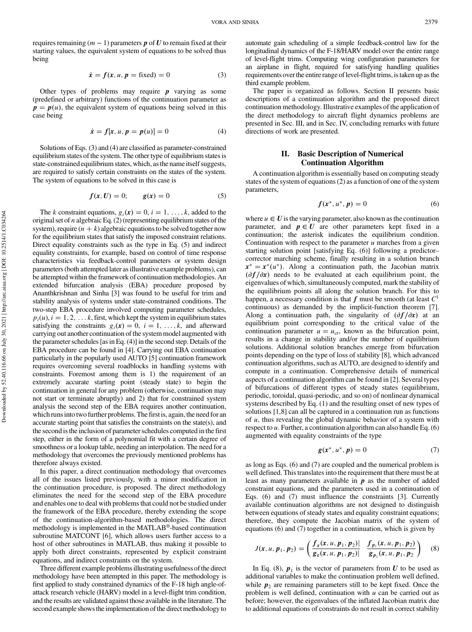requires remaining  $(m - 1)$  parameters **p** of **U** to remain fixed at their starting values, the equivalent system of equations to be solved thus being

$$
\dot{x} = f(x, u, p = \text{fixed}) = 0 \tag{3}
$$

Other types of problems may require  $p$  varying as some (predefined or arbitrary) functions of the continuation parameter as  $p = p(u)$ , the equivalent system of equations being solved in this case being

$$
\dot{x} = f[x, u, p = p(u)] = 0 \tag{4}
$$

Solutions of Eqs. (3) and (4) are classified as parameter-constrained equilibrium states of the system. The other type of equilibrium states is state-constrained equilibrium states, which, as the name itself suggests, are required to satisfy certain constraints on the states of the system. The system of equations to be solved in this case is

$$
f(x, U) = 0;
$$
  $g(x) = 0$  (5)

The k constraint equations,  $g_i(\mathbf{x}) = 0, i = 1, ..., k$ , added to the original set of *n* algebraic Eq.  $(2)$  (representing equilibrium states of the system), require  $(n + k)$  algebraic equations to be solved together now for the equilibrium states that satisfy the imposed constraint relations. Direct equality constraints such as the type in Eq. (5) and indirect equality constraints, for example, based on control of time response characteristics via feedback-control parameters or system design parameters (both attempted later as illustrative example problems), can be attempted within the framework of continuation methodologies. An extended bifurcation analysis (EBA) procedure proposed by Ananthkrishnan and Sinha [3] was found to be useful for trim and stability analysis of systems under state-constrained conditions. The two-step EBA procedure involved computing parameter schedules,  $p_i(u)$ ,  $i = 1, 2, \dots k$ , first, which kept the system in equilibrium states satisfying the constraints  $g_i(x) = 0, i = 1, ..., k$ , and afterward carrying out another continuation of the system model augmented with the parameter schedules [as in Eq. (4)] in the second step. Details of the EBA procedure can be found in [4]. Carrying out EBA continuation particularly in the popularly used AUTO [5] continuation framework requires overcoming several roadblocks in handling systems with constraints. Foremost among them is 1) the requirement of an extremely accurate starting point (steady state) to begin the continuation in general for any problem (otherwise, continuation may not start or terminate abruptly) and 2) that for constrained system analysis the second step of the EBA requires another continuation, which runs into two further problems. The first is, again, the need for an accurate starting point that satisfies the constraints on the state(s), and the second is the inclusion of parameter schedules computed in the first step, either in the form of a polynomial fit with a certain degree of smoothness or a lookup table, needing an interpolation. The need for a methodology that overcomes the previously mentioned problems has therefore always existed.

In this paper, a direct continuation methodology that overcomes all of the issues listed previously, with a minor modification in the continuation procedure, is proposed. The direct methodology eliminates the need for the second step of the EBA procedure and enables one to deal with problems that could not be studied under the framework of the EBA procedure, thereby extending the scope of the continuation-algorithm-based methodologies. The direct methodology is implemented in the MATLAB®-based continuation subroutine MATCONT [6], which allows users further access to a host of other subroutines in MATLAB, thus making it possible to apply both direct constraints, represented by explicit constraint equations, and indirect constraints on the system.

Three different example problems illustrating usefulness of the direct methodology have been attempted in this paper. The methodology is first applied to study constrained dynamics of the F-18 high angle-ofattack research vehicle (HARV) model in a level-flight trim condition, and the results are validated against those available in the literature. The second example shows the implementation of the direct methodology to automate gain scheduling of a simple feedback-control law for the longitudinal dynamics of the F-18/HARV model over the entire range of level-flight trims. Computing wing configuration parameters for an airplane in flight, required for satisfying handling qualities requirements over the entire range of level-flight trims, is taken up as the third example problem.

The paper is organized as follows. Section II presents basic descriptions of a continuation algorithm and the proposed direct continuation methodology. Illustrative examples of the application of the direct methodology to aircraft flight dynamics problems are presented in Sec. III, and in Sec. IV, concluding remarks with future directions of work are presented.

## II. Basic Description of Numerical Continuation Algorithm

A continuation algorithm is essentially based on computing steady states of the system of equations (2) as a function of one of the system parameters,

$$
f(x^*, u^*, p) = 0 \tag{6}
$$

where  $u \in U$  is the varying parameter, also known as the continuation parameter, and  $p \in U$  are other parameters kept fixed in a continuation; the asterisk indicates the equilibrium condition. Continuation with respect to the parameter  $u$  marches from a given starting solution point [satisfying Eq. (6)] following a predictor– corrector marching scheme, finally resulting in a solution branch  $x^* = x^*(u^*)$ . Along a continuation path, the Jacobian matrix  $\left(\frac{\partial f}{\partial x}\right)$  needs to be evaluated at each equilibrium point, the eigenvalues of which, simultaneously computed, mark the stability of the equilibrium points all along the solution branch. For this to happen, a necessary condition is that  $f$  must be smooth (at least  $C<sup>1</sup>$ continuous) as demanded by the implicit-function theorem [7]. Along a continuation path, the singularity of  $(\partial f/\partial x)$  at an equilibrium point corresponding to the critical value of the continuation parameter  $u = u_{cr}$ , known as the bifurcation point, results in a change in stability and/or the number of equilibrium solutions. Additional solution branches emerge from bifurcation points depending on the type of loss of stability [8], which advanced continuation algorithms, such as AUTO, are designed to identify and compute in a continuation. Comprehensive details of numerical aspects of a continuation algorithm can be found in [2]. Several types of bifurcations of different types of steady states (equilibrium, periodic, toroidal, quasi-periodic, and so on) of nonlinear dynamical systems described by Eq. (1) and the resulting onset of new types of solutions [1,8] can all be captured in a continuation run as functions of  $u$ , thus revealing the global dynamic behavior of a system with respect to  $u$ . Further, a continuation algorithm can also handle Eq.  $(6)$ augmented with equality constraints of the type

$$
g(x^*, u^*, p) = 0 \tag{7}
$$

as long as Eqs. (6) and (7) are coupled and the numerical problem is well defined. This translates into the requirement that there must be at least as many parameters available in  $p$  as the number of added constraint equations, and the parameters used in a continuation of Eqs. (6) and (7) must influence the constraints [3]. Currently available continuation algorithms are not designed to distinguish between equations of steady states and equality constraint equations; therefore, they compute the Jacobian matrix of the system of equations (6) and (7) together in a continuation, which is given by

$$
J(x, u, p_1, p_2) = \left(\frac{f_x(x, u, p_1, p_2)|}{g_x(x, u, p_1, p_2)|} \cdot \frac{f_{p_1}(x, u, p_1, p_2)}{g_{p_1}(x, u, p_1, p_2)}\right)
$$
(8)

In Eq. (8),  $p_1$  is the vector of parameters from U to be used as additional variables to make the continuation problem well defined, while  $p_2$  are remaining parameters still to be kept fixed. Once the problem is well defined, continuation with  $u$  can be carried out as before; however, the eigenvalues of the inflated Jacobian matrix due to additional equations of constraints do not result in correct stability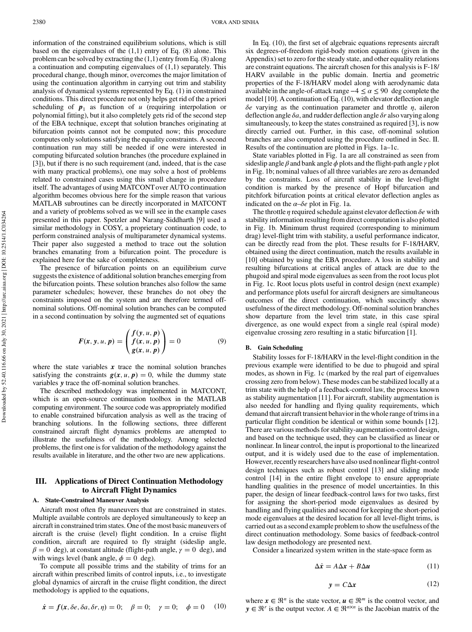information of the constrained equilibrium solutions, which is still based on the eigenvalues of the  $(1,1)$  entry of Eq.  $(8)$  alone. This problem can be solved by extracting the (1,1) entry from Eq. (8) along a continuation and computing eigenvalues of (1,1) separately. This procedural change, though minor, overcomes the major limitation of using the continuation algorithm in carrying out trim and stability analysis of dynamical systems represented by Eq. (1) in constrained conditions. This direct procedure not only helps get rid of the a priori scheduling of  $p_1$  as function of u (requiring interpolation or polynomial fitting), but it also completely gets rid of the second step of the EBA technique, except that solution branches originating at bifurcation points cannot not be computed now; this procedure computes only solutions satisfying the equality constraints. A second continuation run may still be needed if one were interested in computing bifurcated solution branches (the procedure explained in [3]), but if there is no such requirement (and, indeed, that is the case with many practical problems), one may solve a host of problems related to constrained cases using this small change in procedure itself. The advantages of using MATCONT over AUTO continuation algorithm becomes obvious here for the simple reason that various MATLAB subroutines can be directly incorporated in MATCONT and a variety of problems solved as we will see in the example cases presented in this paper. Spetzler and Narang-Siddharth [9] used a similar methodology in COSY, a proprietary continuation code, to perform constrained analysis of multiparameter dynamical systems. Their paper also suggested a method to trace out the solution branches emanating from a bifurcation point. The procedure is explained here for the sake of completeness.

The presence of bifurcation points on an equilibrium curve suggests the existence of additional solution branches emerging from the bifurcation points. These solution branches also follow the same parameter schedules; however, these branches do not obey the constraints imposed on the system and are therefore termed offnominal solutions. Off-nominal solution branches can be computed in a second continuation by solving the augmented set of equations

$$
F(x, y, u, p) = \begin{pmatrix} f(y, u, p) \\ f(x, u, p) \\ g(x, u, p) \end{pmatrix} = 0
$$
 (9)

where the state variables  $x$  trace the nominal solution branches satisfying the constraints  $g(x, u, p) = 0$ , while the dummy state variables y trace the off-nominal solution branches.

The described methodology was implemented in MATCONT, which is an open-source continuation toolbox in the MATLAB computing environment. The source code was appropriately modified to enable constrained bifurcation analysis as well as the tracing of branching solutions. In the following sections, three different constrained aircraft flight dynamics problems are attempted to illustrate the usefulness of the methodology. Among selected problems, the first one is for validation of the methodology against the results available in literature, and the other two are new applications.

### III. Applications of Direct Continuation Methodology to Aircraft Flight Dynamics

#### A. State-Constrained Maneuver Analysis

Aircraft most often fly maneuvers that are constrained in states. Multiple available controls are deployed simultaneously to keep an aircraft in constrained trim states. One of the most basic maneuvers of aircraft is the cruise (level) flight condition. In a cruise flight condition, aircraft are required to fly straight (sideslip angle,  $\beta = 0$  deg), at constant altitude (flight-path angle,  $\gamma = 0$  deg), and with wings level (bank angle,  $\phi = 0$  deg).

To compute all possible trims and the stability of trims for an aircraft within prescribed limits of control inputs, i.e., to investigate global dynamics of aircraft in the cruise flight condition, the direct methodology is applied to the equations,

$$
\dot{x} = f(x, \delta e, \delta a, \delta r, \eta) = 0; \quad \beta = 0; \quad \gamma = 0; \quad \phi = 0
$$
 (10)

In Eq. (10), the first set of algebraic equations represents aircraft six degrees-of-freedom rigid-body motion equations (given in the Appendix) set to zero for the steady state, and other equality relations are constraint equations. The aircraft chosen for this analysis is F-18/ HARV available in the public domain. Inertia and geometric properties of the F-18/HARV model along with aerodynamic data available in the angle-of-attack range  $-4 \le \alpha \le 90$  deg complete the model [10]. A continuation of Eq. (10), with elevator deflection angle δe varying as the continuation parameter and throttle  $η$ , aileron deflection angle  $\delta a$ , and rudder deflection angle  $\delta r$  also varying along simultaneously, to keep the states constrained as required [3], is now directly carried out. Further, in this case, off-nominal solution branches are also computed using the procedure outlined in Sec. II. Results of the continuation are plotted in Figs. 1a–1c.

State variables plotted in Fig. 1a are all constrained as seen from sideslip angle  $\beta$  and bank angle  $\phi$  plots and the flight-path angle  $\gamma$  plot in Fig. 1b; nominal values of all three variables are zero as demanded by the constraints. Loss of aircraft stability in the level-flight condition is marked by the presence of Hopf bifurcation and pitchfork bifurcation points at critical elevator deflection angles as indicated on the  $\alpha$ -δe plot in Fig. 1a.

The throttle  $\eta$  required schedule against elevator deflection  $\delta e$  with stability information resulting from direct computation is also plotted in Fig. 1b. Minimum thrust required (corresponding to minimum drag) level-flight trim with stability, a useful performance indicator, can be directly read from the plot. These results for F-18/HARV, obtained using the direct continuation, match the results available in [10] obtained by using the EBA procedure. A loss in stability and resulting bifurcations at critical angles of attack are due to the phugoid and spiral mode eigenvalues as seen from the root locus plot in Fig. 1c. Root locus plots useful in control design (next example) and performance plots useful for aircraft designers are simultaneous outcomes of the direct continuation, which succinctly shows usefulness of the direct methodology. Off-nominal solution branches show departure from the level trim state, in this case spiral divergence, as one would expect from a single real (spiral mode) eigenvalue crossing zero resulting in a static bifurcation [1].

#### B. Gain Scheduling

Stability losses for F-18/HARV in the level-flight condition in the previous example were identified to be due to phugoid and spiral modes, as shown in Fig. 1c (marked by the real part of eigenvalues crossing zero from below). These modes can be stabilized locally at a trim state with the help of a feedback-control law, the process known as stability augmentation [11]. For aircraft, stability augmentation is also needed for handling and flying quality requirements, which demand that aircraft transient behavior in the whole range of trims in a particular flight condition be identical or within some bounds [12]. There are various methods for stability-augmentation-control design, and based on the technique used, they can be classified as linear or nonlinear. In linear control, the input is proportional to the linearized output, and it is widely used due to the ease of implementation. However, recently researchers have also used nonlinear flight-control design techniques such as robust control [13] and sliding mode control [14] in the entire flight envelope to ensure appropriate handling qualities in the presence of model uncertainties. In this paper, the design of linear feedback-control laws for two tasks, first for assigning the short-period mode eigenvalues as desired by handling and flying qualities and second for keeping the short-period mode eigenvalues at the desired location for all level-flight trims, is carried out as a second example problem to show the usefulness of the direct continuation methodology. Some basics of feedback-control law design methodology are presented next.

Consider a linearized system written in the state-space form as

$$
\Delta \dot{x} = A \Delta x + B \Delta u \tag{11}
$$

$$
y = C\Delta x \tag{12}
$$

where  $x \in \mathbb{R}^n$  is the state vector,  $u \in \mathbb{R}^m$  is the control vector, and  $y \in \mathbb{R}^r$  is the output vector.  $A \in \mathbb{R}^{n \times n}$  is the Jacobian matrix of the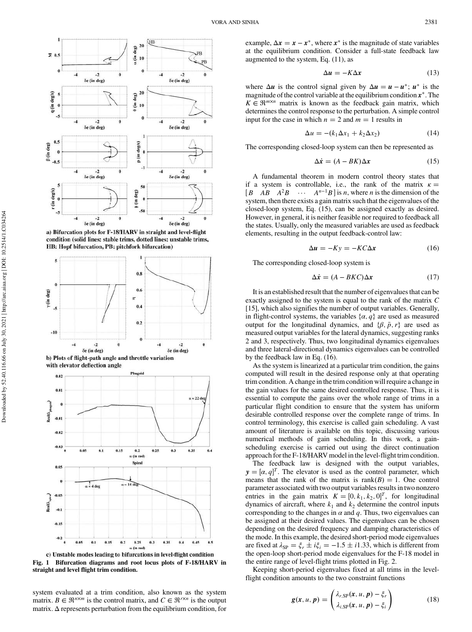







c) Unstable modes leading to bifurcations in level-flight condition Fig. 1 Bifurcation diagrams and root locus plots of F-18/HARV in straight and level flight trim condition.

system evaluated at a trim condition, also known as the system matrix.  $B \in \mathbb{R}^{n \times m}$  is the control matrix, and  $C \in \mathbb{R}^{n \times n}$  is the output matrix.  $\Delta$  represents perturbation from the equilibrium condition, for

example,  $\Delta x = x - x^*$ , where  $x^*$  is the magnitude of state variables at the equilibrium condition. Consider a full-state feedback law augmented to the system, Eq. (11), as

$$
\Delta u = -K\Delta x \tag{13}
$$

where  $\Delta u$  is the control signal given by  $\Delta u = u - u^*$ ;  $u^*$  is the magnitude of the control variable at the equilibrium condition  $x^*$ . The  $K \in \mathbb{R}^{m \times n}$  matrix is known as the feedback gain matrix, which determines the control response to the perturbation. A simple control input for the case in which  $n = 2$  and  $m = 1$  results in

$$
\Delta u = -(k_1 \Delta x_1 + k_2 \Delta x_2) \tag{14}
$$

The corresponding closed-loop system can then be represented as

$$
\Delta \dot{x} = (A - BK)\Delta x \tag{15}
$$

A fundamental theorem in modern control theory states that if a system is controllable, i.e., the rank of the matrix  $\kappa =$  $\begin{bmatrix} B & AB & A^2B & \cdots & A^{n-1}B \end{bmatrix}$  is *n*, where *n* is the dimension of the system, then there exists a gain matrix such that the eigenvalues of the closed-loop system, Eq. (15), can be assigned exactly as desired. However, in general, it is neither feasible nor required to feedback all the states. Usually, only the measured variables are used as feedback elements, resulting in the output feedback-control law:

$$
\Delta u = -Ky = -KC\Delta x \tag{16}
$$

The corresponding closed-loop system is

$$
\Delta \dot{x} = (A - BKC)\Delta x \tag{17}
$$

It is an established result that the number of eigenvalues that can be exactly assigned to the system is equal to the rank of the matrix C [15], which also signifies the number of output variables. Generally, in flight-control systems, the variables  $\{\alpha, q\}$  are used as measured output for the longitudinal dynamics, and  $\{\beta, \bar{p}, r\}$  are used as measured output variables for the lateral dynamics, suggesting ranks 2 and 3, respectively. Thus, two longitudinal dynamics eigenvalues and three lateral-directional dynamics eigenvalues can be controlled by the feedback law in Eq. (16).

As the system is linearized at a particular trim condition, the gains computed will result in the desired response only at that operating trim condition. A change in the trim condition will require a change in the gain values for the same desired controlled response. Thus, it is essential to compute the gains over the whole range of trims in a particular flight condition to ensure that the system has uniform desirable controlled response over the complete range of trims. In control terminology, this exercise is called gain scheduling. A vast amount of literature is available on this topic, discussing various numerical methods of gain scheduling. In this work, a gainscheduling exercise is carried out using the direct continuation approach for the F-18/HARV model in the level-flight trim condition.

The feedback law is designed with the output variables,  $y = [\alpha, q]^T$ . The elevator is used as the control parameter, which means that the rank of the matrix is  $rank(B) = 1$ . One control parameter associated with two output variables results in two nonzero entries in the gain matrix  $K = [0, k_1, k_2, 0]^T$ , for longitudinal dynamics of aircraft, where  $k_1$  and  $k_2$  determine the control inputs corresponding to the changes in  $\alpha$  and  $q$ . Thus, two eigenvalues can be assigned at their desired values. The eigenvalues can be chosen depending on the desired frequency and damping characteristics of the mode. In this example, the desired short-period mode eigenvalues are fixed at  $\lambda_{\rm SP} = \xi_r \pm i\xi_i = -1.5 \pm i1.33$ , which is different from the open-loop short-period mode eigenvalues for the F-18 model in the entire range of level-flight trims plotted in Fig. 2.

Keeping short-period eigenvalues fixed at all trims in the levelflight condition amounts to the two constraint functions

$$
g(x, u, p) = \begin{pmatrix} \lambda_{r, \text{SP}}(x, u, p) - \xi_r \\ \lambda_{i, \text{SP}}(x, u, p) - \xi_i \end{pmatrix}
$$
 (18)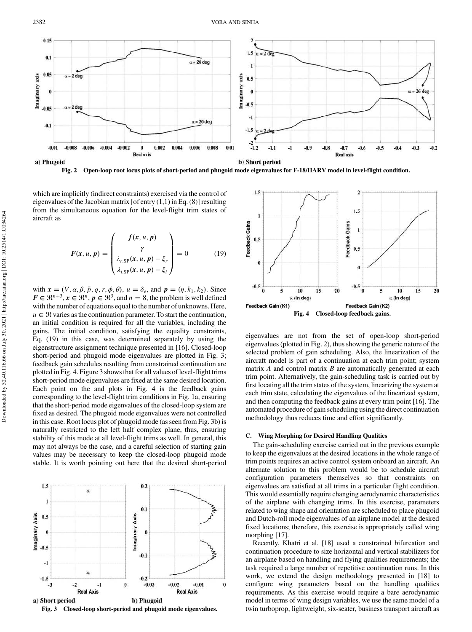

Fig. 2 Open-loop root locus plots of short-period and phugoid mode eigenvalues for F-18/HARV model in level-flight condition.

which are implicitly (indirect constraints) exercised via the control of eigenvalues of the Jacobian matrix [of entry  $(1,1)$  in Eq.  $(8)$ ] resulting from the simultaneous equation for the level-flight trim states of aircraft as

$$
F(x, u, p) = \begin{pmatrix} f(x, u, p) \\ \gamma \\ \lambda_{r, \text{SP}}(x, u, p) - \xi_r \\ \lambda_{i, \text{SP}}(x, u, p) - \xi_i \end{pmatrix} = 0
$$
 (19)

with  $\mathbf{x} = (V, \alpha, \beta, \bar{p}, q, r, \phi, \theta), u = \delta_e$ , and  $\mathbf{p} = (\eta, k_1, k_2)$ . Since  $F \in \mathbb{R}^{n+3}, x \in \mathbb{R}^n, p \in \mathbb{R}^3$ , and  $n = 8$ , the problem is well defined with the number of equations equal to the number of unknowns. Here,  $u \in \mathcal{R}$  varies as the continuation parameter. To start the continuation, an initial condition is required for all the variables, including the gains. The initial condition, satisfying the equality constraints, Eq. (19) in this case, was determined separately by using the eigenstructure assignment technique presented in [16]. Closed-loop short-period and phugoid mode eigenvalues are plotted in Fig. 3; feedback gain schedules resulting from constrained continuation are plotted in Fig. 4. Figure 3 shows that for all values of level-flight trims short-period mode eigenvalues are fixed at the same desired location. Each point on the and plots in Fig. 4 is the feedback gains corresponding to the level-flight trim conditions in Fig. 1a, ensuring that the short-period mode eigenvalues of the closed-loop system are fixed as desired. The phugoid mode eigenvalues were not controlled in this case. Root locus plot of phugoid mode (as seen from Fig. 3b) is naturally restricted to the left half complex plane, thus, ensuring stability of this mode at all level-flight trims as well. In general, this may not always be the case, and a careful selection of starting gain values may be necessary to keep the closed-loop phugoid mode stable. It is worth pointing out here that the desired short-period







eigenvalues are not from the set of open-loop short-period eigenvalues (plotted in Fig. 2), thus showing the generic nature of the selected problem of gain scheduling. Also, the linearization of the aircraft model is part of a continuation at each trim point; system matrix  $A$  and control matrix  $B$  are automatically generated at each trim point. Alternatively, the gain-scheduling task is carried out by first locating all the trim states of the system, linearizing the system at each trim state, calculating the eigenvalues of the linearized system, and then computing the feedback gains at every trim point [16]. The automated procedure of gain scheduling using the direct continuation methodology thus reduces time and effort significantly.

#### C. Wing Morphing for Desired Handling Qualities

The gain-scheduling exercise carried out in the previous example to keep the eigenvalues at the desired locations in the whole range of trim points requires an active control system onboard an aircraft. An alternate solution to this problem would be to schedule aircraft configuration parameters themselves so that constraints on eigenvalues are satisfied at all trims in a particular flight condition. This would essentially require changing aerodynamic characteristics of the airplane with changing trims. In this exercise, parameters related to wing shape and orientation are scheduled to place phugoid and Dutch-roll mode eigenvalues of an airplane model at the desired fixed locations; therefore, this exercise is appropriately called wing morphing [17].

Recently, Khatri et al. [18] used a constrained bifurcation and continuation procedure to size horizontal and vertical stabilizers for an airplane based on handling and flying qualities requirements; the task required a large number of repetitive continuation runs. In this work, we extend the design methodology presented in [18] to configure wing parameters based on the handling qualities requirements. As this exercise would require a bare aerodynamic model in terms of wing design variables, we use the same model of a Fig. 3 Closed-loop short-period and phugoid mode eigenvalues. twin turboprop, lightweight, six-seater, business transport aircraft as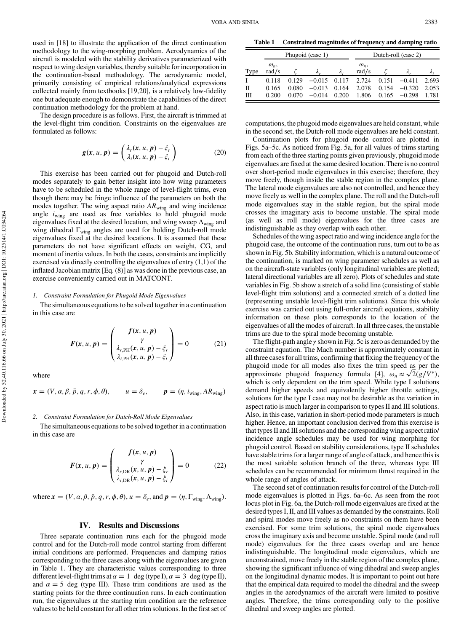used in [18] to illustrate the application of the direct continuation methodology to the wing-morphing problem. Aerodynamics of the aircraft is modeled with the stability derivatives parameterized with respect to wing design variables, thereby suitable for incorporation in the continuation-based methodology. The aerodynamic model, primarily consisting of empirical relations/analytical expressions collected mainly from textbooks [19,20], is a relatively low-fidelity one but adequate enough to demonstrate the capabilities of the direct continuation methodology for the problem at hand.

The design procedure is as follows. First, the aircraft is trimmed at the level-flight trim condition. Constraints on the eigenvalues are formulated as follows:

$$
g(x, u, p) = \begin{pmatrix} \lambda_r(x, u, p) - \xi_r \\ \lambda_i(x, u, p) - \xi_i \end{pmatrix}
$$
 (20)

This exercise has been carried out for phugoid and Dutch-roll modes separately to gain better insight into how wing parameters have to be scheduled in the whole range of level-flight trims, even though there may be fringe influence of the parameters on both the modes together. The wing aspect ratio  $AR_{\text{wing}}$  and wing incidence angle  $i_{\text{wing}}$  are used as free variables to hold phugoid mode eigenvalues fixed at the desired location, and wing sweep  $\Lambda_{\text{wing}}$  and wing dihedral  $\Gamma_{\text{wing}}$  angles are used for holding Dutch-roll mode eigenvalues fixed at the desired locations. It is assumed that these parameters do not have significant effects on weight, CG, and moment of inertia values. In both the cases, constraints are implicitly exercised via directly controlling the eigenvalues of entry (1,1) of the inflated Jacobian matrix [Eq. (8)] as was done in the previous case, an exercise conveniently carried out in MATCONT.

#### *1. Constraint Formulation for Phugoid Mode Eigenvalues*

The simultaneous equations to be solved together in a continuation in this case are

$$
F(x, u, p) = \begin{pmatrix} f(x, u, p) \\ \gamma \\ \lambda_{r, \text{PH}}(x, u, p) - \xi_r \\ \lambda_{i, \text{PH}}(x, u, p) - \xi_i \end{pmatrix} = 0
$$
 (21)

where

$$
\mathbf{x} = (V, \alpha, \beta, \bar{p}, q, r, \phi, \theta), \qquad u = \delta_e, \qquad \mathbf{p} = (\eta, i_{\text{wing}}, AR_{\text{wing}})
$$

#### *2. Constraint Formulation for Dutch-Roll Mode Eigenvalues*

The simultaneous equations to be solved together in a continuation in this case are

$$
F(x, u, p) = \begin{pmatrix} f(x, u, p) \\ \gamma \\ \lambda_{r, \text{DR}}(x, u, p) - \xi_r \\ \lambda_{i, \text{DR}}(x, u, p) - \xi_i \end{pmatrix} = 0
$$
 (22)

where  $\mathbf{x} = (V, \alpha, \beta, \bar{p}, q, r, \phi, \theta), u = \delta_e$ , and  $\mathbf{p} = (\eta, \Gamma_{\text{wing}}, \Lambda_{\text{wing}}).$ 

#### IV. Results and Discussions

Three separate continuation runs each for the phugoid mode control and for the Dutch-roll mode control starting from different initial conditions are performed. Frequencies and damping ratios corresponding to the three cases along with the eigenvalues are given in Table 1. They are characteristic values corresponding to three different level-flight trims at  $\alpha = 1$  deg (type I),  $\alpha = 3$  deg (type II), and  $\alpha = 5$  deg (type III). These trim conditions are used as the starting points for the three continuation runs. In each continuation run, the eigenvalues at the starting trim condition are the reference values to be held constant for all other trim solutions. In the first set of

Table 1 Constrained magnitudes of frequency and damping ratio

|      |                     |       | Phugoid (case 1) |       | Dutch-roll (case 2) |       |                |       |
|------|---------------------|-------|------------------|-------|---------------------|-------|----------------|-------|
| Type | $\omega_n$<br>rad/s |       |                  |       | $\omega_n$<br>rad/s |       |                |       |
| L    | 0.118               | 0.129 | $-0.015$ 0.117   |       | 2.724               | 0.151 | $-0.411$       | 2.693 |
| Н    | 0.165               | 0.080 | $-0.013$         | 0.164 | 2.078               | 0.154 | $-0.320$       | 2.053 |
| Ш    | 0.200               | 0.070 | $-0.014$         | 0.200 | 1.806               |       | $0.165 -0.298$ | 1.781 |

computations, the phugoid mode eigenvalues are held constant, while in the second set, the Dutch-roll mode eigenvalues are held constant.

Continuation plots for phugoid mode control are plotted in Figs. 5a–5c. As noticed from Fig. 5a, for all values of trims starting from each of the three starting points given previously, phugoid mode eigenvalues are fixed at the same desired location. There is no control over short-period mode eigenvalues in this exercise; therefore, they move freely, though inside the stable region in the complex plane. The lateral mode eigenvalues are also not controlled, and hence they move freely as well in the complex plane. The roll and the Dutch-roll mode eigenvalues stay in the stable region, but the spiral mode crosses the imaginary axis to become unstable. The spiral mode (as well as roll mode) eigenvalues for the three cases are indistinguishable as they overlap with each other.

Schedules of the wing aspect ratio and wing incidence angle for the phugoid case, the outcome of the continuation runs, turn out to be as shown in Fig. 5b. Stability information, which is a natural outcome of the continuation, is marked on wing parameter schedules as well as on the aircraft-state variables (only longitudinal variables are plotted; lateral directional variables are all zero). Plots of schedules and state variables in Fig. 5b show a stretch of a solid line (consisting of stable level-flight trim solutions) and a connected stretch of a dotted line (representing unstable level-flight trim solutions). Since this whole exercise was carried out using full-order aircraft equations, stability information on these plots corresponds to the location of the eigenvalues of all the modes of aircraft. In all three cases, the unstable trims are due to the spiral mode becoming unstable.

The flight-path angle  $\gamma$  shown in Fig. 5c is zero as demanded by the constraint equation. The Mach number is approximately constant in all three cases for all trims, confirming that fixing the frequency of the phugoid mode for all modes also fixes the trim speed as per the approximate phugoid frequency formula [4],  $\omega_n \approx \sqrt{2(g/V^*)}$ , which is only dependent on the trim speed. While type I solutions demand higher speeds and equivalently higher throttle settings, solutions for the type I case may not be desirable as the variation in aspect ratio is much larger in comparison to types II and III solutions. Also, in this case, variation in short-period mode parameters is much higher. Hence, an important conclusion derived from this exercise is that types II and III solutions and the corresponding wing aspect ratio/ incidence angle schedules may be used for wing morphing for phugoid control. Based on stability considerations, type II schedules have stable trims for a larger range of angle of attack, and hence this is the most suitable solution branch of the three, whereas type III schedules can be recommended for minimum thrust required in the whole range of angles of attack.

The second set of continuation results for control of the Dutch-roll mode eigenvalues is plotted in Figs. 6a–6c. As seen from the root locus plot in Fig. 6a, the Dutch-roll mode eigenvalues are fixed at the desired types I, II, and III values as demanded by the constraints. Roll and spiral modes move freely as no constraints on them have been exercised. For some trim solutions, the spiral mode eigenvalues cross the imaginary axis and become unstable. Spiral mode (and roll mode) eigenvalues for the three cases overlap and are hence indistinguishable. The longitudinal mode eigenvalues, which are unconstrained, move freely in the stable region of the complex plane, showing the significant influence of wing dihedral and sweep angles on the longitudinal dynamic modes. It is important to point out here that the empirical data required to model the dihedral and the sweep angles in the aerodynamics of the aircraft were limited to positive angles. Therefore, the trims corresponding only to the positive dihedral and sweep angles are plotted.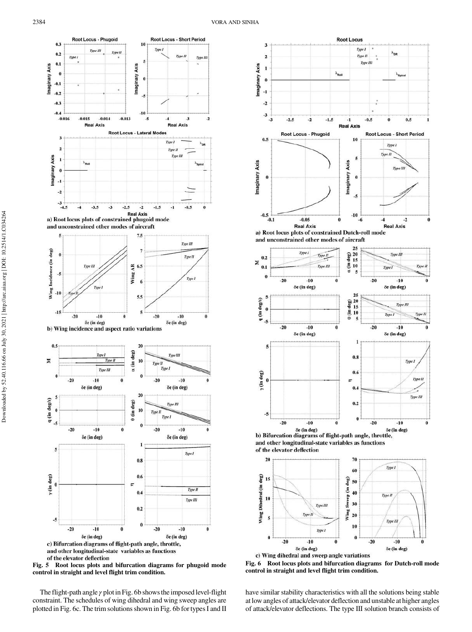



Fig. 5 Root locus plots and bifurcation diagrams for phugoid mode control in straight and level flight trim condition.

The flight-path angle  $\gamma$  plot in Fig. 6b shows the imposed level-flight constraint. The schedules of wing dihedral and wing sweep angles are plotted in Fig. 6c. The trim solutions shown in Fig. 6b for types I and II



**Root Locus** 



Fig. 6 Root locus plots and bifurcation diagrams for Dutch-roll mode control in straight and level flight trim condition.

have similar stability characteristics with all the solutions being stable at low angles of attack/elevator deflection and unstable at higher angles of attack/elevator deflections. The type III solution branch consists of